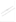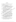## บรรณานุกรม

กาญจนา เกียรติประวัติ. (2524). **วิธีสอนทั่วไปและทักษะการสอน.** กรุงเทพฯ : โรงพิมพ์ ไทยวัฒนาพานิช.

กรมสามัญศึกษา. (2531). การพัฒนาองค์การและทักษะการสร้างความคิดด้านการ บริหาร. กรุงเทพฯ : โรงพิมพ์คุรุสภาลาดพร้าว.

ึกรมอาชีวศึกษา. (2534). **กรมอาชีวศึกษา 50 ปี.** กรุงเทพฯ : วิทยาลัยสารพัดช่างพระน<u>คร</u>

- . (2538). หลักสูตรประกาศนียบัตรวิชาชีพ พุทธศักราช **2538 (ร**ัฐญิ

. (2540). "หลักสูตรประกาศนียบัตรวิชาชีพชั้นสูง พุทธศั<del>ลราช 2540</del>

METERS)

ประเภทวิชาคหกรรม ".

กระทรวงศึกษาธิการ. (2537). หลักสูตรประกาศนียบัตรวิชาชีพ พันธุ์ศักราช 2536. (ฉบับปรับปรุงครั้งที่ 1 พ.ศ.2537).

จรรยา วรรณเวช. (2538). การศึกษาคุณลักษ์ณะพี่พึงประสงค์ตามทัศนะของผู้บริหารั และครูอาจารย์โรงเรียนประสมศึกษาสังกัดสำนักงานการประถมศึกษ์ส จังหวัดสงขลา. วิทยานิพินธ์ปริญญามหาบัณฑิต สงขลา : มหาวิสิยาลัย: ศรีนครินทรวิโร๊ตเกาัติใต้ สั

จรัส คำรัตน์. (2524) คิจามต้องการในการพัฒนาการสอนของครูประถมศึกษาสังกัด <u>อัลน์กิ่งานตารประถมศึกษาจังหวัดมหาสารคิงม</u>ุ่ วิทิยานิพนธ์ปริญญา

มหาบัณฑิต มหาสารคาม : มหาวิทยาลัยศรีนิศรีนทร์วิโรฒ มหาสารคาม. นิยมีจิต เนื้อกศรี. <sub>(</sub>2535). ความคิดเห็นชองผู้บริหารและอ**าจารย์เกี่ยวกับการพัฒนา** บุคลากรคณะวิชาคหิกรัรมิศาสตร์สถานศึกษากลุ่มภาคกลางกรมอาชีวศึกษา. วิทยานิพนธ์ปริญญามหาบัณฑิต กรุงเทพฯ : มหาวิทยาลัยเกษตรศาสตร์.

ชาญชัย อาจิณสมาจุจร $\langle$  (2522). การบริหารการศึกษา. กรุงเทพมหานคร : โรงพิมพ์ศาสนา. ชุมพล ตามพระพัดกับ (2541). คุณลักษณะของครูช่างอุตสาหกรรมตามความคิดเห็น ึงยิ่งผู้บริหารครูช่างอุตสาหกรรมและนักศึกษาวิทยาลัยเทคนิค 4 จังหวัด ้ชายแดนภาคใต้สังกัดกรมอาชีวศึกษา. วิทยานิพนธ์ปริญญามหาบัณฑิด

กรุงเทพฯ : มหาวิทยาลัยศรีนครินทรวิโรฒ ประสานมิตร.

ไชยศ เรื่องสุวรรณ. (2533). **เทคโนโลยี่การศึกษา : การออกแบบและพัฒนา.** กรุงเทพฯ : โอ เอส พริ้นตึ๊ง เฮ้า.

ถาวร สารวิทย์. (2523). อุตสาหกรรมศิลป์สำหรับครูประถมศึกษาและมัธยมศึกษา. พิษณุโลก : คณะศึกษาศาสตร์ มหาวิทยายาลัยนเรศวร.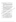ทวีรัสมี ธนาคม. (2538, มกราคม-เมษายน). " คหกรรมศาสตร์ในยุคโลกาภิวัฒน์ " วารสาร เศรษฐศาสตร์. 25(300) : 15.

- ีทิพานี สมบัติ. (2529). ความคิดเห็นของผู้บริหารสถานศึกษาและอาจารย์ที่มีต่อสภาพ การจัดการเรียนการสอนประเภทวิชาคหกรรมตามหลักสูตรประกาศนียบัตร วิชาชีพ พุทธศักราช 2524 ในสถานศึกษาสังกัดกรมอาชีวศึกษาของกลุ่ม ี สถานศึกษาที่ 2. วิทยานิพนธ์ปริญญามหาบัณฑิต กรุงเทพฯ : จุฬาลงกรณ์ มหาวิทยาลัย.
- ทิพาวรรณ เฟื่องเรือง. (2537). ความคิดเห็นของผู้บริหารและอาจารย์ผู้สอนคณะวิชา็ คหกรรมในการจัดการเรียนการสอนหลักสูตรวิชาชีพระยะสั้น พุทธพักราช 2533 ในวิทยาลัยสาะพัดช่าง ค กลาง. วิทยานิพนธ์ปริญญามหาบัณฑิต สถาบันเทคโนโลยี่พระจอมเกล้จ้า คุณทหารลาดกระนั่ง สั
- ทิวา อ่อนนุช. (2537). **ความต้องการพัฒนาสม**รรถกั่วพูดิจริสิจนิของครู-อาจารย์ ประเภทวิชาคหกรรมวิทยาลัยอาชีว์ศีสต์ (นโขติกรุงเทพมหานคร. วิทยานิพนธ์ปริญญามหาบัณฑิต (สตั้งบันเทีย์ไมโลยี่พระจอมเกล้าเจ้าคุณพิงสุริ) ลาตกระบัง.

METERS!

- ธวัชชัย จิรฉายากุล. (2527). จุดพมามสำหรับการเรียนการสอนและพัฒนาหลักสูตร : แนวคิดแสะแห้วฟฏิบัติ. กรุงเทพฯ : โอ เอส พรินติ้งเฮ้า
- ธำรง บัวศรี. (253 ) ทฤษฎีหลักสูตรการออกแบบและการพัฒนา. กรุงเทพฯ : โรงพิมพ์ ไอราวัณภารพิมพ์.
- นุพพิงษ์ ไบญ์จึดราดุลย์. (2525). ภาวะผู้นำหรือประมุขศิลป์. กรุงเทพฯ : ภาควิชา ้การบริหารการศึกษา (คณะสิริสตร์ จุฬาลงก**รณ์มหาวิทยาลัย**, ันิ๊พนธ์ กินาวงศ์. (2523). หลักเมื่องิตันเกี่ยวกับก**ารบริหารโรงเรียนและการนิเทศการ** 
	- ศึกษา. พิษณุโลก. มหาวิทยาลัยศรีนครินทรวิโรฒ พิษณุโลก.
- บรรจง ชูสกุลชูจุดิ (2531). " แนวคิดในการปรับปรุงหลักสูดรเคษตรศาสตร์และคหกรรม ์ศิจิสตร์เพื่อการมีงานทำของเทคโนโลยี่ราชมงคล " ๘**ตรครู.** 30 พฤศจิกายน. บำรุง กลิตเจริญ. (2534). ความต้องการในการพัฒนาการสอนของครูประถมศึกษา ี สังกัด <sub>ผ</sub>ำนักงานกา<del>ะ</del>ประถมศึก<del>⊲ </del>จังหวัดมหาสาะคาม วิทยานิพนธ์ปริ<u>ช</u>ญา
- ้มหาบัณฑิต มหาสารคาม : มหาวิทยาลัยศรีนครินทรวิโรฒ มหาสารคาม. ึบุญเทียม เจริญยิ่ง. (2532). อาช**ีวศึกษาเพื่อการพัฒนาประเทศ.** กรมอาชีวศึกษา.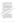- ปภาพิต สุภารัตน์. (2543). ศึกษาปัญหาการจัดการศึกษาประเภทวิชาคหกรรม ตาม ความคิดเห็นของผู้บริหารและครู-อาจารย์ สถานศึกษาสังกรมอาชีวศึกษา ึ กลุ่มภาคใต้. วิทยานิพนธ์ปริญญามหาบัณฑิต สถาบันเทคโนโลยี่พระจอมเกล้า เจ้าคุณทหารลาดกระบัง.
- ีประชา ผ่องใส. (2530). การวิเคราะห์องค์ประกอบของบุคลิกภาพ ความเป็นไทยของ ้นักเรียนชั้นประถมศึกษาปีที่ 6 สังกัดกรุงเทพมหานคร. วิทยานิพนธ์ปริญญา มหาบัณฑิต กรุงเทพฯ : มหาวิทยาลัยศรีนครินทรวิโรฒ ประสานมิตร.
- ี ประดิษฐ์ กำเนิด. (2545). คุณลักษณะที่พึงประสงค์ของผู้บริหารสถานศึกษาที่เอื้อต่อ การจัดการศึกษาตามพระราชบัญญัติการศึกษาแห่งชาติ w.a.2542 ตาม ทัศนะของครู อาจารย์โรงเรียนประถมศึกษา สังกัดสำนักฐานการประถม **ศึกษาจังหวัดสโขทัย.** วิทยานิพนธ์ปริญญามหาบัณฑิตส์สาปันระชภัฏพิบูลสงคราม TEMPET พิษณุโลก.
- ประสิทธิ์ พรหมอ่อน. (2538). การศึกษาคุณลี้หัษสุรุฆองประธานที่สุ่มโรงเรียนตาม ความต้องการของผู้บริหารโรงเรียนและครูอิงจารย์สังกัดสำนักงาน การประถมศึกษาจังหวัดสังทุลา มิทัยานิพนธ์ปริญญามหาบัณฑิต สงขอว มหาวิทยาลัยศรีนิครินิพรวิโรฒภาคใด้.

ประหยัด สายวิเชียร. (2536) อิวามรู้เรื่องคหกรรมศาสตร์. กรุงเทิฟฯ: ชั้นบรรณ 23 การพิมพิ

wni สัตยธรรม (2824). เทคนิคการสอนอย่างมีประสิทธิภาพ. กรุงเทพฯ : โรงพิมพ์ เรือนแก้ว.

ผุสดิ์ สัดยมานะ. (2514). การบริหารรัฐกิจิ์ สงขลา : มงคลการพิมพ์. <sup>2</sup>พนัส หันนาคินทร์. (2513). ห**ลักกรรมริหารโรงเรียน. กรุงเทพฯ : วัฒนพาณิช**. พิฆเณศ โคกทอง (2544) ดูสเล็กษณะที่เป็นจริงและพึงประสงค์ของผู้บริหารโรงเรียน ตามที่สินะของพนักงานครูเทศบาลในโรงเรียนสังกัดเทศบาลเขตการศึกษา 7.

(วิชิยิ์ชั้นพนธ์ปริญญามหาบัณฑิตสถาบันราชภัฏพิบูลสงครามพิษณุโลก. พินิจ (ขึ้มท้อง. (2535). คุณลักษณะที่พึงประสงค์ของครูจริยศึกษาในโรงเรียนประถม ์ศึกษาสังกัดสำนักงานการประถมศึกษาจังหวัดมหาสารคาม ตามความคิด ้เห็นของผู้บริหารโรงเรียน ศึกษานาเทศน์ ครู และผู้ปกครองนักเรียน. วิทยานิพนธ์ปริญญามหาบัณฑิด มหาสารคาม : มหาวิทยาลัยศรีนครินทรวิโรฒ มหาสารคาม.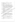ีพิณทิพย์ บริบูรณ์สุข. (2525). "การเดรียมคนเพื่อประกอบอาชีพ " วารสารคหกรรม เศรษฐศาสตร์. (ดูลาคม).

พจน์ สะเพียรชัย. (2529). "การบริหารงานการศึกษา " เดลินิวส์. 10 กรกฎาคม.

ี ภัทรา นิคมานนท์. (2529). การประเมินผลและการสร้างข้อสอบ. กรุงเทพฯ : โรงพิมพ์ อักษรบัณฑิต.

้ภิญโญ ศัพท์อนันด์. (2536). การศึกษาพฤติกรรมผู้นำของผู้บริหารโรงเรียนตามความ ี่ ต้องการของครู อาจารย์โรงเรียนประถมศึกษาสังกัดเทศบาลในจังหวัดสงขลา.∛ ้วิทยานิพนธ์ปริญญามหาบัณฑิด สงขลา : มหาวิทยาลัยศรีนครินทรวิโรฒภาคใต้

้ เมธี ปิลันธนานนท์. (2534). " ภาวะผู้นำของนักบริหารอาชีวศึกษาที่พึงประสงค์ในพิสิจรรษ หน้า " ใน กรมอาชีวศึกษา 50 ปี 2584 - 2534. กรุงเทพฯ สมภาจิมุมาลัย สารพัดช่างพระนคร.

SEALED ! มหาวิทยาลัยสุโขทัยธรรมมาธิราช. (2528). ระบบการเรียนการสอน. ันนทบุรี : โรงพิมพ์ สุโขทัยธรรมมาธิราช.

ุมหาวิทยาลัยสงขลานครินทร์. (2530). สรุปผลทั้งวิสาร์ขางโร่องคุณลักษณะของผู้บริหาร์ โรงเรียนที่ส่งผลต่อการใช้การตีกษาเพื่อพัฒนาชุมชน. สงขลา, มหาวิทยาลัย สงขลานครินท์รี่

ยุวดี กาญจนนับฐิดิ, มูวพุะ ปิติสิงศะ และพูนสุข เวชวิฐาน,(2533) อิตกสารการสอนชุด : ประสบสารณ์วิชาชีพคหกรรมศาสตร์ หน่วย (ฟิกร์มทัพฯ : ห้างหุ้นส่วนจำกัด ำใจกังการพิมพ์.

ยมด์ ชุ่มจิต (2531). ความเป็นครู. กรุงเทพ์ โอเดียนสโตร์.

จะเบียบ อรชร. (2537). มูลเหตุถูงใจในการเข้าศึกษาวิชาคหกรรมของนักเรียนระดับ ประกาศนียบัตรวิชาชีพสังกัดกองวิทยาลัยเทคนิคกรมอาชีวศึกษาภาคตะวัน ออกเฉียงเหนือ\ วิทยานิพนธ์ปริญญามหาบัณฑิตสถาบันเทคโนโลยีพระจอมเกล้า เจ้าคุณพิหารลาดกระบัง.

วัศปี สินาส์แหนะ (2523). " คุณลักษณะความเป็นผู้นำ " วารสารรามคำแหง. 44-46 : ี มกราคม.

โรนัล อี โจนส์ และจอห์น อาร์ ไรด์. (2539). **เทคโนโลยีสู่การปฏิวัติ.** แปลจาก 1mplement Technology Education. โดย เปรื่อง กิจรัดนี้. กรุงเทพฯ : โรงพิมพ์ กรมวิชาการ.

ีวิจิด วรุดบางกุล และสุพชญา ธีรกุล. (2523). **การนิเทศการศึกษา.** กรุงเทพฯ : โรงพิมพ์ พิฆเณศ.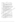ีวิทยาลัยครูสวนสุนันทา. (ม.ป.ป.) ความเป็นครู. กรุงเทพฯ : คณะครุศาสตร์วิทยาลัย สวนสุนันทา.

วินิจ เกตขำ และชาญชัย ศรีไสยเพชร. (2522). วิชาการศึกษา 121 หลักการสอนและ การเตรียมประสบการณ์ภาคปฏิบัติ. กรุงเทพฯ : สำนักพิมพ์โอเดียนสโตร์.

์วิราพร พงศอาจารย์. (2542). **ความรู้พื้นฐานเกี่ยวกับการวิจัย.** พิษณุโลก : สถาบัน ราชภัฏพิบูลสงคราม.

วิศาล รอตกำเนิด. (2543). การศึกษาพฤติกรรมผู้นำของผู้บริหารโรงเรียนตามทัศนะ ของผู้สอนโรงเรียนประถมศึกษา สังกัดเทศบาลเขตการศึกษา 7. วิทยามิพินธุ์ ปริญญามหาบัณฑิตสถาบันราชภัฏพิบูลสงครามพิษณุโลก.

สงัด อุทรานนท์. (2532). การจัดการเรียนการสอนอย่างมีระบบ. ภาศวิชาการปริหารคณะ TEMPETH ครุศาสตร์ จุฬาลงกรณ์มหาวิทยาลัย.

สนอง ศิริกุลวัฒนา. (2533). ครูมือสอบบรรจุครู สปชั้น สูรุงเฟิพฯ คุณพินอักษร. สนอง ศิริกุลวัฒนา. (2535). "สภาพปัญหาแล้ะแนวทำงางพัฒนาประเทศในอนาคต " แผนการศึกษาแห่งชาติ พุทธศักร์(ช 2525 และแผนพัฒนาการศึกษา แห่งชาติ ฉบับที่ 7 (2535-2539) กรุ๊งเทพฯ : คุณพินอักษร.

สันต์ ธรรมบำรุง. (2525) หลักสูตรโละการบริหารหลักสูตร. กรุงเทพฯ โกรียงศักดิ์ การพิมพ์*, ส* 

สันต์ ธรรมบำรุง (2527). หลักสูตรและการบริหารหลักสูติร (กรุงเทพฯ : โรงพิมพ์ ิ การสำสนา.

สวัสดิ์ rma. (2521). "ก่อนที่หลักสูตร พ.ศ.2521 จะนำเข้าสู่ชั้นเรียน." **วารสารสภาการ** ศึกษาแห่งชาติ. ( กุมกุลพันธ์ - มีน้ำคม 2521 ).

์สวัสดิ์ สายประเสริฐ, มงคล สำอังงค์ผัส และสมบูรณ์ **วัฒนพงศ์. ม.ป.ป. คู่มือสอบบรรจุ** เข้ารับราชกำรัดรู้ อิจจารย์ สปช. กรุงเทพฯ : พัฒนศึกษา.

สุจินต์ วิศวชีวนนุทั้ (2524). "การพัฒนาการสอนครูมัธยม " เอกสารประกอบวิชาพฤติ ้กิ่งริมการสอนมัธยมศึกษา มหาวิทยาลัยสุโขทัยธรรมมาธิราช หน่วยที่ 11. ้กรุงเทพฯ : โรงพิมพ์อัมรินทร์การพิมพ์.

สุพิณ บุญชางศ์. (2530). **หลักการสอน.** กรุงเทพฯ : คณะวิชาครุศาสตร์ วิทยาลัยสวนดุสิต. ี่สุภาพ ฉัตราภรณ์. (2526). <mark>การสอนคหกรรมศาสตร์.</mark> ภาควิชาอาชีวคณะศึกษาศาสตร์ มหาวิทยาลัยเกษตรศาสตร์.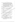สุภาพร กิตินันท์. (2543). การศึกษาบทบาทหน้าที่ของผู้บริหารศึกษาและครูตาม พระราชบัญญัติการศึกษาแห่งชาติ พุทธศักราช 2542 ตามความคิดเห็น ของผู้บริหารและครูโรงเรียนมัธยมศึกษา สังกัดกรมสามัญจังหวัดพิษณุโลก.

วิทยานิพนธ์ปริญญามหาบัณฑิตสถาบันราชภัฏพิบูลสงครามพิษณุโลก.

สุภาพร สามารถ. (2543). การศึกษาความต้องการพัฒนาครู อาจารย์คณะคหกรรมศาสตร์ วิทยาลัยอาชีวศึกษาในกาคตะวันออกเฉียงเหนือ. วิทยานิพนธ์ปริญญามหาบัณฑิต ิสถาบันเทคโนโลยีพระจอมเกล้าเจ้าคุณทหารลาตกระบัง.

สุมิตร คุณากร. (2523). **หลักสูตรและการสอน.** พิมพ์ครั้งที่ 4. กรุงเทพฯ : โรงพิมพ์ชว*ั*นฟิม<sup>เ</sup> สุรพันธ์ ดันศรีวงษ์. (2531). วิธ**ีสอน 1.** กรุงเทพฯ : สถาบันเทคโนโลยี่พระจอมต์<del>ตั้</del>ง พระนครเหนือ.

**SEARED** 

สุรพล ทองคลองไทร. (2525). "ภาวะผู้นำ-สร้างหรือทำคาย " มิตร์ศรี 22 กันยายน.

สุรศักดิ์ หลาบมาลา. (2532). "วิธีการสอนเพื่อการปฏิบัติซุ $\sqrt[3]{\mathfrak{g}^2}$ พิพิมพ์วันลักสูตร. มกราคม.

สุนทร จันทร์ศรี. (2530). **การประถ**มศึกษา: ที่รุงโทษย์ โมหาวิทยาลัยศรีนครินทร์จุโรฒ์ ประสานมิตร.

สมบัติ มหาเรศ. (2530). วิธีสอนทั่วไป. มหาสารคาม : มหาวิทยาลัยสรีนครินหรัวโรฒ มหาสารคามี

สำนักงานลูกแะกรรมสำจาการประถมศึกษาแห่งชาติ. (2542) กิจาเสริมสร้างขวัญและกำลัง ้ใจเพิ่ดหิคการประชาสัมพันธ์โรงเรียนการสร้างเสริมวินัยในโรงเรียน.

กรุ้งเทพฯ : สำนักงานคณะกรรมสุกังประถมศึกษาแห่งชาติ.

สำนักงานคณะกรรมการการศึกษาเอสซน. (2531). การ**บริหารโรงเรียนเอกชน.** กรุงเทพฯ : คุรุสภาลาดพร้าว (

สำนักนายกรัฐมนตรี... (2538) สิรุปรายงา**นเรื่อง "ประสิทธิภาพของการอาชีวศึกษา".** ชำนักงิ้งนัติณะกรรมการการศึกษาแห่งชาติ, สิงหาคม.

อนันต์ ฟุริสิสิตร์กุล. (2530). **การเป็นผู้นำชุมชน.** สงขลา : คณะศึกษาศาสตร์ มหาวิทยาลัยศรีนครินทรวิโรฒ สงขลา.

้อนันด์ ศรีโสภา. (2525). **การวัดผล.** พิมพ์ครั้งที่ 3. กรุงเทพฯ : โรงพิมพ์ไทยวัฒนาพานิช. อรุณ รักธรรม. (2527). **หลักมนุษยธรรมการบริหาร.** กรุงเทพฯ : โอเตียนสโตร์. อัจนา ตันฑ์วรกุล. (2539). **หน่วยศึกษานิเทศก์กรมอาชีวศึกษา.** "การวิเคราะห์เพื่อ พัฒนาการจัดการศึกษาและการแนะแนวอาชีพประเภทคหกรรมให้สอดคล้อง

กับเศรษฐกิจและสังคมยุคปัจจุบัน ".